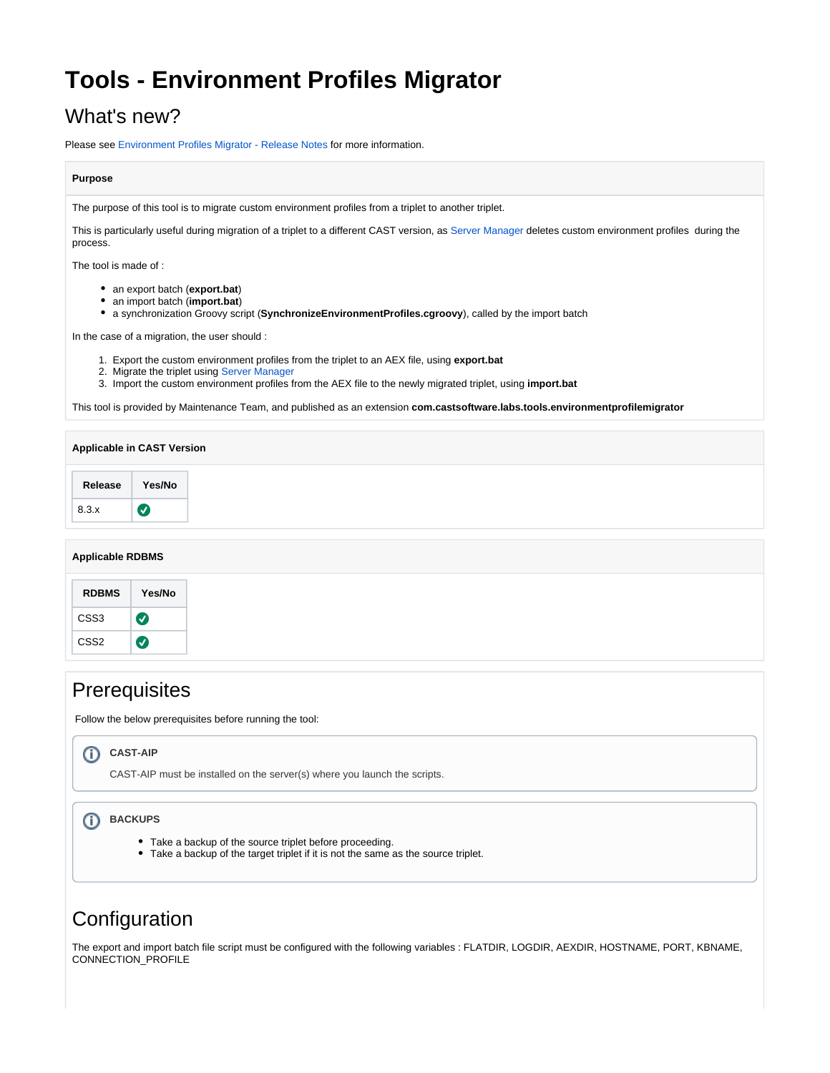# **Tools - Environment Profiles Migrator**

## What's new?

Please see [Environment Profiles Migrator - Release Notes](https://doc.castsoftware.com/display/TG/Tools+-+Environment+Profiles+Migrator+-+Release+Notes) for more information.

### **Purpose**

The purpose of this tool is to migrate custom environment profiles from a triplet to another triplet.

This is particularly useful during migration of a triplet to a different CAST version, as [Server Manager](https://doc.castsoftware.com/display/TG/Server+Manager) deletes custom environment profiles during the process.

The tool is made of :

- an export batch (**export.bat**)
- an import batch (**import.bat**)
- a synchronization Groovy script (**SynchronizeEnvironmentProfiles.cgroovy**), called by the import batch

In the case of a migration, the user should :

- 1. Export the custom environment profiles from the triplet to an AEX file, using **export.bat**
- 2. Migrate the triplet using [Server Manager](https://doc.castsoftware.com/display/TG/Server+Manager+-+Update+Database)
- 3. Import the custom environment profiles from the AEX file to the newly migrated triplet, using **import.bat**

This tool is provided by Maintenance Team, and published as an extension **com.castsoftware.labs.tools.environmentprofilemigrator**

### **Applicable RDBMS**

| <b>RDBMS</b>     | Yes/No   |
|------------------|----------|
| CSS3             | $\bm{J}$ |
| CSS <sub>2</sub> | ✓        |

## **Prerequisites**

Follow the below prerequisites before running the tool:

#### **CAST-AIP** G)

CAST-AIP must be installed on the server(s) where you launch the scripts.

#### **BACKUPS** Ф

- Take a backup of the source triplet before proceeding.
- Take a backup of the target triplet if it is not the same as the source triplet.

## **Configuration**

The export and import batch file script must be configured with the following variables : FLATDIR, LOGDIR, AEXDIR, HOSTNAME, PORT, KBNAME, CONNECTION\_PROFILE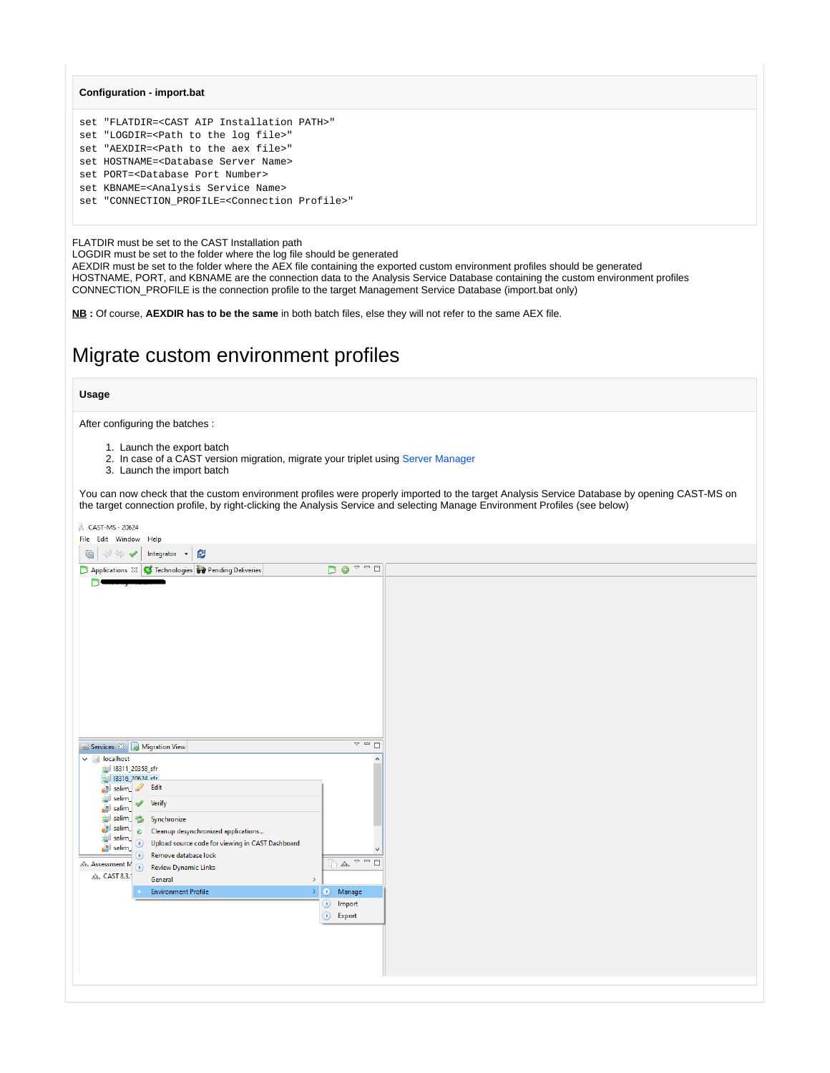### **Configuration - import.bat**

| set "FLATDIR= <cast aip="" installation="" path="">"</cast>    |  |
|----------------------------------------------------------------|--|
| set "LOGDIR= <path file="" log="" the="" to="">"</path>        |  |
| set "AEXDIR= <path aex="" file="" the="" to="">"</path>        |  |
| set HOSTNAME= <database name="" server=""></database>          |  |
| set PORT= <database number="" port=""></database>              |  |
| set KBNAME= <analysis name="" service=""></analysis>           |  |
| set "CONNECTION PROFILE= <connection profile="">"</connection> |  |
|                                                                |  |

FLATDIR must be set to the CAST Installation path

LOGDIR must be set to the folder where the log file should be generated

AEXDIR must be set to the folder where the AEX file containing the exported custom environment profiles should be generated HOSTNAME, PORT, and KBNAME are the connection data to the Analysis Service Database containing the custom environment profiles CONNECTION\_PROFILE is the connection profile to the target Management Service Database (import.bat only)

**NB :** Of course, **AEXDIR has to be the same** in both batch files, else they will not refer to the same AEX file.

## Migrate custom environment profiles

### **Usage**

After configuring the batches :

- 1. Launch the export batch
- 2. In case of a CAST version migration, migrate your triplet using [Server Manager](https://doc.castsoftware.com/display/TG/Server+Manager+-+Update+Database)
- 3. Launch the import batch

You can now check that the custom environment profiles were properly imported to the target Analysis Service Database by opening CAST-MS on the target connection profile, by right-clicking the Analysis Service and selecting Manage Environment Profiles (see below)